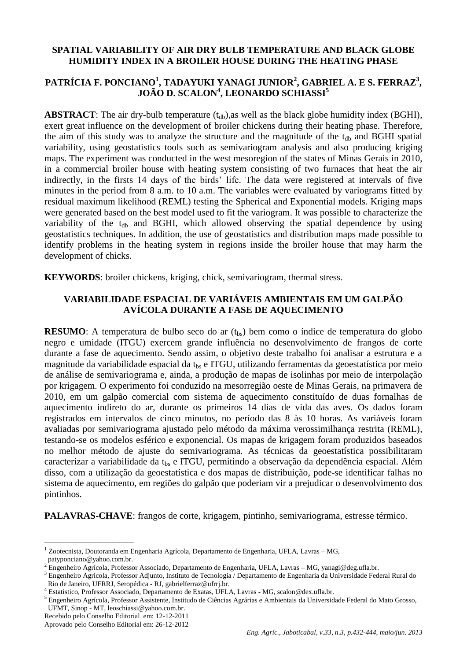# **SPATIAL VARIABILITY OF AIR DRY BULB TEMPERATURE AND BLACK GLOBE HUMIDITY INDEX IN A BROILER HOUSE DURING THE HEATING PHASE**

# **PATRÍCIA F. PONCIANO<sup>1</sup> , TADAYUKI YANAGI JUNIOR<sup>2</sup> , GABRIEL A. E S. FERRAZ<sup>3</sup> , JOÃO D. SCALON<sup>4</sup> , LEONARDO SCHIASSI<sup>5</sup>**

**ABSTRACT**: The air dry-bulb temperature  $(t_{db})$ , as well as the black globe humidity index (BGHI), exert great influence on the development of broiler chickens during their heating phase. Therefore, the aim of this study was to analyze the structure and the magnitude of the  $t_{db}$  and BGHI spatial variability, using geostatistics tools such as semivariogram analysis and also producing kriging maps. The experiment was conducted in the west mesoregion of the states of Minas Gerais in 2010, in a commercial broiler house with heating system consisting of two furnaces that heat the air indirectly, in the firsts 14 days of the birds' life. The data were registered at intervals of five minutes in the period from 8 a.m. to 10 a.m. The variables were evaluated by variograms fitted by residual maximum likelihood (REML) testing the Spherical and Exponential models. Kriging maps were generated based on the best model used to fit the variogram. It was possible to characterize the variability of the  $t_{db}$  and BGHI, which allowed observing the spatial dependence by using geostatistics techniques. In addition, the use of geostatistics and distribution maps made possible to identify problems in the heating system in regions inside the broiler house that may harm the development of chicks.

**KEYWORDS**: broiler chickens, kriging, chick, semivariogram, thermal stress.

# **VARIABILIDADE ESPACIAL DE VARIÁVEIS AMBIENTAIS EM UM GALPÃO AVÍCOLA DURANTE A FASE DE AQUECIMENTO**

**RESUMO**: A temperatura de bulbo seco do ar  $(t_{bs})$  bem como o índice de temperatura do globo negro e umidade (ITGU) exercem grande influência no desenvolvimento de frangos de corte durante a fase de aquecimento. Sendo assim, o objetivo deste trabalho foi analisar a estrutura e a magnitude da variabilidade espacial da  $t_{\text{bs}}$  e ITGU, utilizando ferramentas da geoestatística por meio de análise de semivariograma e, ainda, a produção de mapas de isolinhas por meio de interpolação por krigagem. O experimento foi conduzido na mesorregião oeste de Minas Gerais, na primavera de 2010, em um galpão comercial com sistema de aquecimento constituído de duas fornalhas de aquecimento indireto do ar, durante os primeiros 14 dias de vida das aves. Os dados foram registrados em intervalos de cinco minutos, no período das 8 às 10 horas. As variáveis foram avaliadas por semivariograma ajustado pelo método da máxima verossimilhança restrita (REML), testando-se os modelos esférico e exponencial. Os mapas de krigagem foram produzidos baseados no melhor método de ajuste do semivariograma. As técnicas da geoestatística possibilitaram caracterizar a variabilidade da t<sub>hs</sub> e ITGU, permitindo a observação da dependência espacial. Além disso, com a utilização da geoestatística e dos mapas de distribuição, pode-se identificar falhas no sistema de aquecimento, em regiões do galpão que poderiam vir a prejudicar o desenvolvimento dos pintinhos.

**PALAVRAS-CHAVE**: frangos de corte, krigagem, pintinho, semivariograma, estresse térmico.

 $\overline{\phantom{a}}$  , and the set of the set of the set of the set of the set of the set of the set of the set of the set of the set of the set of the set of the set of the set of the set of the set of the set of the set of the s

<sup>1</sup> Zootecnista, Doutoranda em Engenharia Agrícola, Departamento de Engenharia, UFLA, Lavras – MG, patyponciano@yahoo.com.br.

<sup>2</sup> Engenheiro Agrícola, Professor Associado, Departamento de Engenharia, UFLA, Lavras – MG, yanagi@deg.ufla.br.

<sup>3</sup> Engenheiro Agrícola, Professor Adjunto, Instituto de Tecnologia / Departamento de Engenharia da Universidade Federal Rural do Rio de Janeiro, UFRRJ, Seropédica - RJ, gabrielferraz@ufrrj.br.

<sup>4</sup> Estatistico, Professor Associado, Departamento de Exatas, UFLA, Lavras - MG, scalon@dex.ufla.br.

<sup>5</sup> Engenheiro Agrícola, Professor Assistente, Institudo de Ciências Agrárias e Ambientais da Universidade Federal do Mato Grosso, UFMT, Sinop - MT, leoschiassi@yahoo.com.br.

Recebido pelo Conselho Editorial em: 12-12-2011

Aprovado pelo Conselho Editorial em: 26-12-2012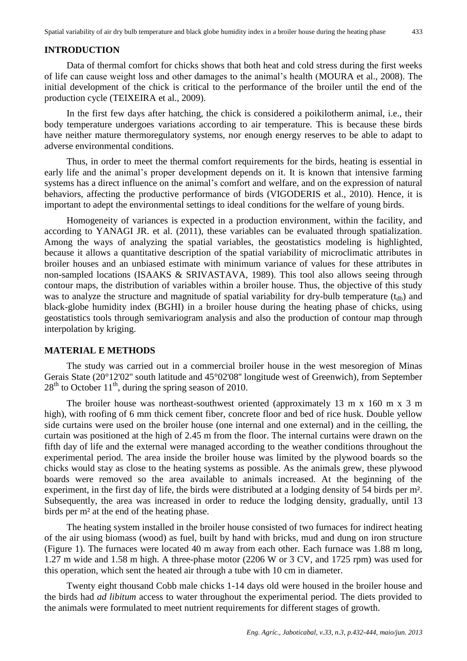### **INTRODUCTION**

Data of thermal comfort for chicks shows that both heat and cold stress during the first weeks of life can cause weight loss and other damages to the animal's health (MOURA et al., 2008). The initial development of the chick is critical to the performance of the broiler until the end of the production cycle (TEIXEIRA et al., 2009).

In the first few days after hatching, the chick is considered a poikilotherm animal, i.e., their body temperature undergoes variations according to air temperature. This is because these birds have neither mature thermoregulatory systems, nor enough energy reserves to be able to adapt to adverse environmental conditions.

Thus, in order to meet the thermal comfort requirements for the birds, heating is essential in early life and the animal's proper development depends on it. It is known that intensive farming systems has a direct influence on the animal's comfort and welfare, and on the expression of natural behaviors, affecting the productive performance of birds (VIGODERIS et al., 2010). Hence, it is important to adept the environmental settings to ideal conditions for the welfare of young birds.

Homogeneity of variances is expected in a production environment, within the facility, and according to YANAGI JR. et al. (2011), these variables can be evaluated through spatialization. Among the ways of analyzing the spatial variables, the geostatistics modeling is highlighted, because it allows a quantitative description of the spatial variability of microclimatic attributes in broiler houses and an unbiased estimate with minimum variance of values for these attributes in non-sampled locations (ISAAKS & SRIVASTAVA, 1989). This tool also allows seeing through contour maps, the distribution of variables within a broiler house. Thus, the objective of this study was to analyze the structure and magnitude of spatial variability for dry-bulb temperature  $(t_{db})$  and black-globe humidity index (BGHI) in a broiler house during the heating phase of chicks, using geostatistics tools through semivariogram analysis and also the production of contour map through interpolation by kriging.

### **MATERIAL E METHODS**

The study was carried out in a commercial broiler house in the west mesoregion of Minas Gerais State (20°12'02'' south latitude and 45°02'08'' longitude west of Greenwich), from September  $28<sup>th</sup>$  to October 11<sup>th</sup>, during the spring season of 2010.

The broiler house was northeast-southwest oriented (approximately 13 m x 160 m x 3 m high), with roofing of 6 mm thick cement fiber, concrete floor and bed of rice husk. Double yellow side curtains were used on the broiler house (one internal and one external) and in the ceilling, the curtain was positioned at the high of 2.45 m from the floor. The internal curtains were drawn on the fifth day of life and the external were managed according to the weather conditions throughout the experimental period. The area inside the broiler house was limited by the plywood boards so the chicks would stay as close to the heating systems as possible. As the animals grew, these plywood boards were removed so the area available to animals increased. At the beginning of the experiment, in the first day of life, the birds were distributed at a lodging density of 54 birds per m². Subsequently, the area was increased in order to reduce the lodging density, gradually, until 13 birds per m² at the end of the heating phase.

The heating system installed in the broiler house consisted of two furnaces for indirect heating of the air using biomass (wood) as fuel, built by hand with bricks, mud and dung on iron structure (Figure 1). The furnaces were located 40 m away from each other. Each furnace was 1.88 m long, 1.27 m wide and 1.58 m high. A three-phase motor (2206 W or 3 CV, and 1725 rpm) was used for this operation, which sent the heated air through a tube with 10 cm in diameter.

Twenty eight thousand Cobb male chicks 1-14 days old were housed in the broiler house and the birds had *ad libitum* access to water throughout the experimental period. The diets provided to the animals were formulated to meet nutrient requirements for different stages of growth.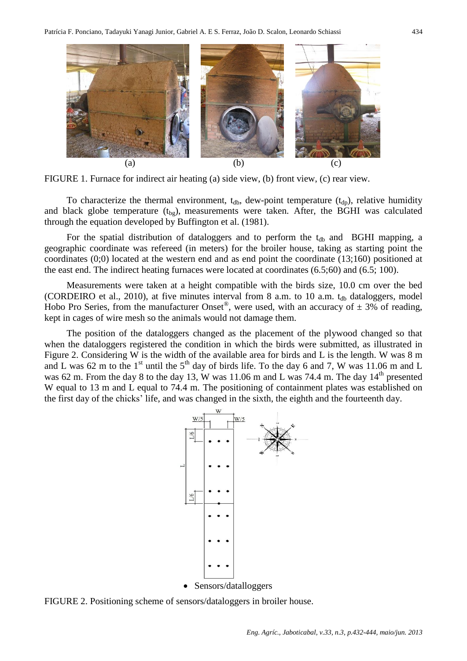

FIGURE 1. Furnace for indirect air heating (a) side view, (b) front view, (c) rear view.

To characterize the thermal environment,  $t_{db}$ , dew-point temperature  $(t_{dp})$ , relative humidity and black globe temperature  $(t_{bg})$ , measurements were taken. After, the BGHI was calculated through the equation developed by Buffington et al. (1981).

For the spatial distribution of dataloggers and to perform the  $t_{db}$  and BGHI mapping, a geographic coordinate was refereed (in meters) for the broiler house, taking as starting point the coordinates (0;0) located at the western end and as end point the coordinate (13;160) positioned at the east end. The indirect heating furnaces were located at coordinates (6.5;60) and (6.5; 100).

Measurements were taken at a height compatible with the birds size, 10.0 cm over the bed (CORDEIRO et al., 2010), at five minutes interval from 8 a.m. to 10 a.m.  $t_{db}$  dataloggers, model Hobo Pro Series, from the manufacturer Onset<sup>®</sup>, were used, with an accuracy of  $\pm$  3% of reading, kept in cages of wire mesh so the animals would not damage them.

The position of the dataloggers changed as the placement of the plywood changed so that when the dataloggers registered the condition in which the birds were submitted, as illustrated in Figure 2. Considering W is the width of the available area for birds and L is the length. W was 8 m and L was 62 m to the  $1<sup>st</sup>$  until the  $5<sup>th</sup>$  day of birds life. To the day 6 and 7, W was 11.06 m and L was 62 m. From the day 8 to the day 13, W was 11.06 m and L was 74.4 m. The day  $14<sup>th</sup>$  presented W equal to 13 m and L equal to 74.4 m. The positioning of containment plates was established on the first day of the chicks' life, and was changed in the sixth, the eighth and the fourteenth day.



FIGURE 2. Positioning scheme of sensors/dataloggers in broiler house.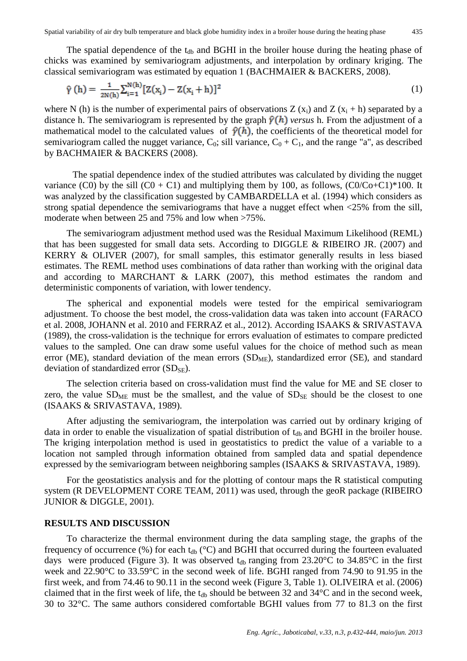The spatial dependence of the  $t_{db}$  and BGHI in the broiler house during the heating phase of chicks was examined by semivariogram adjustments, and interpolation by ordinary kriging. The classical semivariogram was estimated by equation 1 (BACHMAIER & BACKERS, 2008).

$$
\hat{\gamma}(h) = \frac{1}{2N(h)} \sum_{i=1}^{N(h)} [Z(x_i) - Z(x_i + h)]^2
$$
 (1)

where N (h) is the number of experimental pairs of observations Z  $(x_i)$  and Z  $(x_i + h)$  separated by a distance h. The semivariogram is represented by the graph  $\hat{y}(h)$  versus h. From the adjustment of a mathematical model to the calculated values of  $\hat{\gamma}(h)$ , the coefficients of the theoretical model for semivariogram called the nugget variance,  $C_0$ ; sill variance,  $C_0 + C_1$ , and the range "a", as described by BACHMAIER & BACKERS (2008).

The spatial dependence index of the studied attributes was calculated by dividing the nugget variance (C0) by the sill  $(C0 + C1)$  and multiplying them by 100, as follows,  $(C0/C0+C1)*100$ . It was analyzed by the classification suggested by CAMBARDELLA et al. (1994) which considers as strong spatial dependence the semivariograms that have a nugget effect when  $\langle 25\%$  from the sill, moderate when between 25 and 75% and low when >75%.

The semivariogram adjustment method used was the Residual Maximum Likelihood (REML) that has been suggested for small data sets. According to DIGGLE & RIBEIRO JR. (2007) and KERRY & OLIVER (2007), for small samples, this estimator generally results in less biased estimates. The REML method uses combinations of data rather than working with the original data and according to MARCHANT & LARK (2007), this method estimates the random and deterministic components of variation, with lower tendency.

The spherical and exponential models were tested for the empirical semivariogram adjustment. To choose the best model, the cross-validation data was taken into account (FARACO et al. 2008, JOHANN et al. 2010 and FERRAZ et al., 2012). According ISAAKS & SRIVASTAVA (1989), the cross-validation is the technique for errors evaluation of estimates to compare predicted values to the sampled. One can draw some useful values for the choice of method such as mean error (ME), standard deviation of the mean errors  $(SD<sub>ME</sub>)$ , standardized error  $(SE)$ , and standard deviation of standardized error  $(SD_{SE})$ .

The selection criteria based on cross-validation must find the value for ME and SE closer to zero, the value  $SD<sub>ME</sub>$  must be the smallest, and the value of  $SD<sub>SE</sub>$  should be the closest to one (ISAAKS & SRIVASTAVA, 1989).

After adjusting the semivariogram, the interpolation was carried out by ordinary kriging of data in order to enable the visualization of spatial distribution of t<sub>db</sub> and BGHI in the broiler house. The kriging interpolation method is used in geostatistics to predict the value of a variable to a location not sampled through information obtained from sampled data and spatial dependence expressed by the semivariogram between neighboring samples (ISAAKS & SRIVASTAVA, 1989).

For the geostatistics analysis and for the plotting of contour maps the R statistical computing system (R DEVELOPMENT CORE TEAM, 2011) was used, through the geoR package (RIBEIRO JUNIOR & DIGGLE, 2001).

#### **RESULTS AND DISCUSSION**

To characterize the thermal environment during the data sampling stage, the graphs of the frequency of occurrence (%) for each  $t_{db}$  ( $^{\circ}$ C) and BGHI that occurred during the fourteen evaluated days were produced (Figure 3). It was observed  $t_{db}$  ranging from 23.20°C to 34.85°C in the first week and 22.90°C to 33.59°C in the second week of life. BGHI ranged from 74.90 to 91.95 in the first week, and from 74.46 to 90.11 in the second week (Figure 3, Table 1). OLIVEIRA et al. (2006) claimed that in the first week of life, the  $t_{db}$  should be between 32 and 34 $\degree$ C and in the second week, 30 to 32°C. The same authors considered comfortable BGHI values from 77 to 81.3 on the first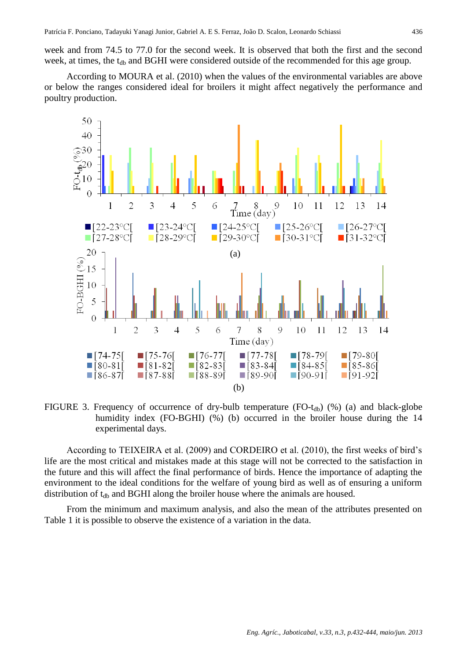week and from 74.5 to 77.0 for the second week. It is observed that both the first and the second week, at times, the t<sub>db</sub> and BGHI were considered outside of the recommended for this age group.

According to MOURA et al. (2010) when the values of the environmental variables are above or below the ranges considered ideal for broilers it might affect negatively the performance and poultry production.



FIGURE 3. Frequency of occurrence of dry-bulb temperature  $(FO-t_{db})$  (%) (a) and black-globe humidity index (FO-BGHI) (%) (b) occurred in the broiler house during the 14 experimental days.

According to TEIXEIRA et al. (2009) and CORDEIRO et al. (2010), the first weeks of bird's life are the most critical and mistakes made at this stage will not be corrected to the satisfaction in the future and this will affect the final performance of birds. Hence the importance of adapting the environment to the ideal conditions for the welfare of young bird as well as of ensuring a uniform distribution of  $t_{db}$  and BGHI along the broiler house where the animals are housed.

From the minimum and maximum analysis, and also the mean of the attributes presented on Table 1 it is possible to observe the existence of a variation in the data.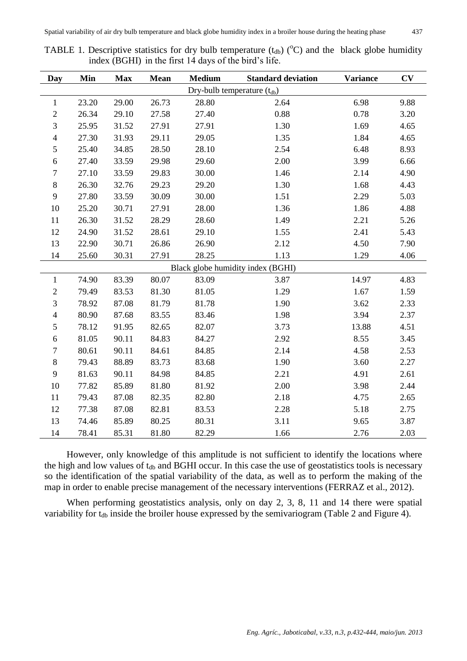|                                   | Min                                                                                         |            | <b>Mean</b> | <b>Medium</b> | <b>Standard deviation</b> | <b>Variance</b> | CV   |  |  |  |  |
|-----------------------------------|---------------------------------------------------------------------------------------------|------------|-------------|---------------|---------------------------|-----------------|------|--|--|--|--|
| Day                               |                                                                                             | <b>Max</b> |             |               |                           |                 |      |  |  |  |  |
| $\mathbf{1}$                      | Dry-bulb temperature $(t_{db})$<br>6.98<br>23.20<br>29.00<br>26.73<br>28.80<br>2.64<br>9.88 |            |             |               |                           |                 |      |  |  |  |  |
| $\mathbf{2}$                      | 26.34                                                                                       | 29.10      | 27.58       | 27.40         |                           |                 | 3.20 |  |  |  |  |
|                                   |                                                                                             |            |             |               | 0.88<br>0.78              |                 |      |  |  |  |  |
| $\mathfrak{Z}$                    | 25.95                                                                                       | 31.52      | 27.91       | 27.91         | 1.30<br>1.69              |                 | 4.65 |  |  |  |  |
| $\overline{4}$                    | 27.30                                                                                       | 31.93      | 29.11       | 29.05         | 1.35<br>1.84              |                 | 4.65 |  |  |  |  |
| 5                                 | 25.40                                                                                       | 34.85      | 28.50       | 28.10         | 2.54<br>6.48              |                 | 8.93 |  |  |  |  |
| $\sqrt{6}$                        | 27.40                                                                                       | 33.59      | 29.98       | 29.60         | 2.00                      | 3.99            | 6.66 |  |  |  |  |
| $\tau$                            | 27.10                                                                                       | 33.59      | 29.83       | 30.00         | 1.46                      | 2.14            | 4.90 |  |  |  |  |
| $\,8\,$                           | 26.30                                                                                       | 32.76      | 29.23       | 29.20         | 1.30                      | 1.68            | 4.43 |  |  |  |  |
| 9                                 | 27.80                                                                                       | 33.59      | 30.09       | 30.00         | 1.51                      | 2.29            | 5.03 |  |  |  |  |
| 10                                | 25.20                                                                                       | 30.71      | 27.91       | 28.00         | 1.36                      | 1.86            | 4.88 |  |  |  |  |
| 11                                | 26.30                                                                                       | 31.52      | 28.29       | 28.60         | 1.49                      | 2.21            | 5.26 |  |  |  |  |
| 12                                | 24.90                                                                                       | 31.52      | 28.61       | 29.10         | 1.55                      | 2.41            | 5.43 |  |  |  |  |
| 13                                | 22.90                                                                                       | 30.71      | 26.86       | 26.90         | 2.12                      | 4.50            | 7.90 |  |  |  |  |
| 14                                | 25.60                                                                                       | 30.31      | 27.91       | 28.25         | 1.13                      | 1.29            | 4.06 |  |  |  |  |
| Black globe humidity index (BGHI) |                                                                                             |            |             |               |                           |                 |      |  |  |  |  |
| $\mathbf{1}$                      | 74.90                                                                                       | 83.39      | 80.07       | 83.09         | 3.87                      | 14.97           | 4.83 |  |  |  |  |
| $\mathbf{2}$                      | 79.49                                                                                       | 83.53      | 81.30       | 81.05         | 1.29                      | 1.67            | 1.59 |  |  |  |  |
| 3                                 | 78.92                                                                                       | 87.08      | 81.79       | 81.78         | 1.90                      | 3.62            | 2.33 |  |  |  |  |
| $\overline{4}$                    | 80.90                                                                                       | 87.68      | 83.55       | 83.46         | 1.98                      | 3.94            | 2.37 |  |  |  |  |
| 5                                 | 78.12                                                                                       | 91.95      | 82.65       | 82.07         | 3.73<br>13.88             |                 | 4.51 |  |  |  |  |
| $\sqrt{6}$                        | 81.05                                                                                       | 90.11      | 84.83       | 84.27         | 2.92                      | 8.55            | 3.45 |  |  |  |  |
| $\tau$                            | 80.61                                                                                       | 90.11      | 84.61       | 84.85         | 2.14                      | 4.58            | 2.53 |  |  |  |  |
| $8\,$                             | 79.43                                                                                       | 88.89      | 83.73       | 83.68         | 1.90                      | 3.60            | 2.27 |  |  |  |  |
| 9                                 | 81.63                                                                                       | 90.11      | 84.98       | 84.85         | 2.21                      | 4.91            | 2.61 |  |  |  |  |
| 10                                | 77.82                                                                                       | 85.89      | 81.80       | 81.92         | 2.00                      | 3.98            | 2.44 |  |  |  |  |
| 11                                | 79.43                                                                                       | 87.08      | 82.35       | 82.80         | 2.18<br>4.75              |                 | 2.65 |  |  |  |  |
| 12                                | 77.38                                                                                       | 87.08      | 82.81       | 83.53         | 2.28                      | 5.18            | 2.75 |  |  |  |  |
| 13                                | 74.46                                                                                       | 85.89      | 80.25       | 80.31         | 3.11                      | 9.65            | 3.87 |  |  |  |  |
| 14                                | 78.41                                                                                       | 85.31      | 81.80       | 82.29         | 1.66                      | 2.76            | 2.03 |  |  |  |  |

TABLE 1. Descriptive statistics for dry bulb temperature  $(t_{db})$  ( $^{\circ}$ C) and the black globe humidity index (BGHI) in the first 14 days of the bird's life.

However, only knowledge of this amplitude is not sufficient to identify the locations where the high and low values of  $t_{db}$  and BGHI occur. In this case the use of geostatistics tools is necessary so the identification of the spatial variability of the data, as well as to perform the making of the map in order to enable precise management of the necessary interventions (FERRAZ et al., 2012).

When performing geostatistics analysis, only on day 2, 3, 8, 11 and 14 there were spatial variability for t<sub>db</sub> inside the broiler house expressed by the semivariogram (Table 2 and Figure 4).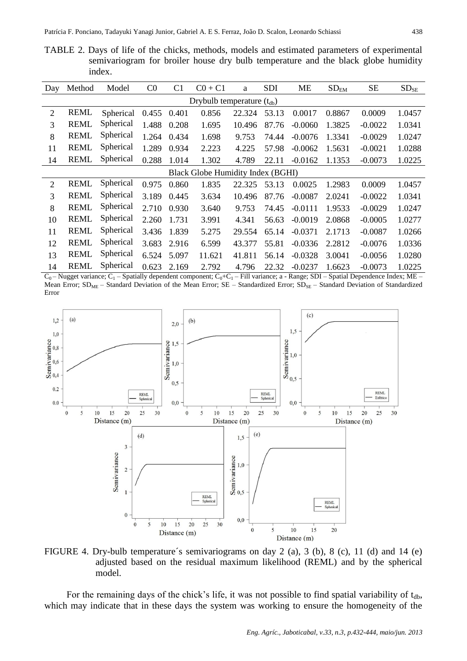TABLE 2. Days of life of the chicks, methods, models and estimated parameters of experimental semivariogram for broiler house dry bulb temperature and the black globe humidity index.

| Day | Method                                   | Model     | $_{\rm C0}$ | C <sub>1</sub> | $CO + C1$ | a      | <b>SDI</b> | <b>ME</b> | $SD_{EM}$ | <b>SE</b> | $SD_{SE}$ |  |  |
|-----|------------------------------------------|-----------|-------------|----------------|-----------|--------|------------|-----------|-----------|-----------|-----------|--|--|
|     | Drybulb temperature $(t_{db})$           |           |             |                |           |        |            |           |           |           |           |  |  |
| 2   | <b>REML</b>                              | Spherical | 0.455       | 0.401          | 0.856     | 22.324 | 53.13      | 0.0017    | 0.8867    | 0.0009    | 1.0457    |  |  |
| 3   | <b>REML</b>                              | Spherical | 1.488       | 0.208          | 1.695     | 10.496 | 87.76      | $-0.0060$ | 1.3825    | $-0.0022$ | 1.0341    |  |  |
| 8   | <b>REML</b>                              | Spherical | 1.264       | 0.434          | 1.698     | 9.753  | 74.44      | $-0.0076$ | 1.3341    | $-0.0029$ | 1.0247    |  |  |
| 11  | <b>REML</b>                              | Spherical | 1.289       | 0.934          | 2.223     | 4.225  | 57.98      | $-0.0062$ | 1.5631    | $-0.0021$ | 1.0288    |  |  |
| 14  | <b>REML</b>                              | Spherical | 0.288       | 1.014          | 1.302     | 4.789  | 22.11      | $-0.0162$ | 1.1353    | $-0.0073$ | 1.0225    |  |  |
|     | <b>Black Globe Humidity Index (BGHI)</b> |           |             |                |           |        |            |           |           |           |           |  |  |
| 2   | <b>REML</b>                              | Spherical | 0.975       | 0.860          | 1.835     | 22.325 | 53.13      | 0.0025    | 1.2983    | 0.0009    | 1.0457    |  |  |
| 3   | <b>REML</b>                              | Spherical | 3.189       | 0.445          | 3.634     | 10.496 | 87.76      | $-0.0087$ | 2.0241    | $-0.0022$ | 1.0341    |  |  |
| 8   | <b>REML</b>                              | Spherical | 2.710       | 0.930          | 3.640     | 9.753  | 74.45      | $-0.0111$ | 1.9533    | $-0.0029$ | 1.0247    |  |  |
| 10  | <b>REML</b>                              | Spherical | 2.260       | 1.731          | 3.991     | 4.341  | 56.63      | $-0.0019$ | 2.0868    | $-0.0005$ | 1.0277    |  |  |
| 11  | <b>REML</b>                              | Spherical | 3.436       | 1.839          | 5.275     | 29.554 | 65.14      | $-0.0371$ | 2.1713    | $-0.0087$ | 1.0266    |  |  |
| 12  | <b>REML</b>                              | Spherical | 3.683       | 2.916          | 6.599     | 43.377 | 55.81      | $-0.0336$ | 2.2812    | $-0.0076$ | 1.0336    |  |  |
| 13  | <b>REML</b>                              | Spherical | 6.524       | 5.097          | 11.621    | 41.811 | 56.14      | $-0.0328$ | 3.0041    | $-0.0056$ | 1.0280    |  |  |
| 14  | <b>REML</b>                              | Spherical | 0.623       | 2.169          | 2.792     | 4.796  | 22.32      | $-0.0237$ | 1.6623    | $-0.0073$ | 1.0225    |  |  |

 $C_0$  – Nugget variance;  $C_1$  – Spatially dependent component;  $C_0$ + $C_1$  – Fill variance; a - Range; SDI – Spatial Dependence Index; ME – Mean Error;  $SD<sub>ME</sub>$  – Standard Deviation of the Mean Error;  $SE$  – Standardized Error;  $SD<sub>SE</sub>$  – Standard Deviation of Standardized Error



FIGURE 4. Dry-bulb temperature´s semivariograms on day 2 (a), 3 (b), 8 (c), 11 (d) and 14 (e) adjusted based on the residual maximum likelihood (REML) and by the spherical model.

For the remaining days of the chick's life, it was not possible to find spatial variability of  $t_{db}$ , which may indicate that in these days the system was working to ensure the homogeneity of the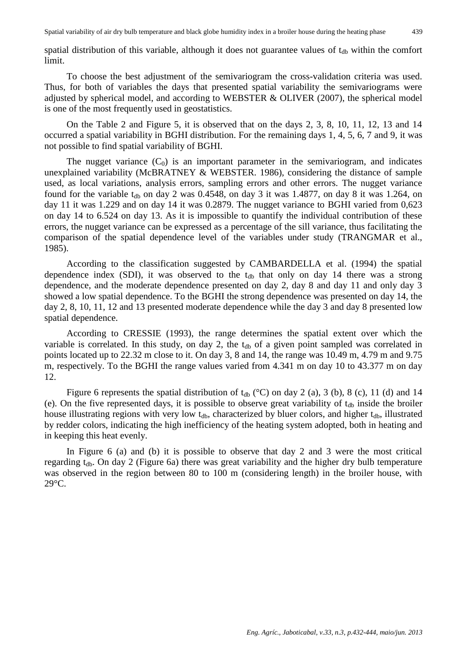spatial distribution of this variable, although it does not guarantee values of  $t_{db}$  within the comfort limit.

To choose the best adjustment of the semivariogram the cross-validation criteria was used. Thus, for both of variables the days that presented spatial variability the semivariograms were adjusted by spherical model, and according to WEBSTER & OLIVER (2007), the spherical model is one of the most frequently used in geostatistics.

On the Table 2 and Figure 5, it is observed that on the days 2, 3, 8, 10, 11, 12, 13 and 14 occurred a spatial variability in BGHI distribution. For the remaining days 1, 4, 5, 6, 7 and 9, it was not possible to find spatial variability of BGHI.

The nugget variance  $(C_0)$  is an important parameter in the semivariogram, and indicates unexplained variability (McBRATNEY & WEBSTER. 1986), considering the distance of sample used, as local variations, analysis errors, sampling errors and other errors. The nugget variance found for the variable  $t_{db}$  on day 2 was 0.4548, on day 3 it was 1.4877, on day 8 it was 1.264, on day 11 it was 1.229 and on day 14 it was 0.2879. The nugget variance to BGHI varied from 0,623 on day 14 to 6.524 on day 13. As it is impossible to quantify the individual contribution of these errors, the nugget variance can be expressed as a percentage of the sill variance, thus facilitating the comparison of the spatial dependence level of the variables under study (TRANGMAR et al., 1985).

According to the classification suggested by CAMBARDELLA et al. (1994) the spatial dependence index (SDI), it was observed to the  $t_{db}$  that only on day 14 there was a strong dependence, and the moderate dependence presented on day 2, day 8 and day 11 and only day 3 showed a low spatial dependence. To the BGHI the strong dependence was presented on day 14, the day 2, 8, 10, 11, 12 and 13 presented moderate dependence while the day 3 and day 8 presented low spatial dependence.

According to CRESSIE (1993), the range determines the spatial extent over which the variable is correlated. In this study, on day 2, the  $t_{db}$  of a given point sampled was correlated in points located up to 22.32 m close to it. On day 3, 8 and 14, the range was 10.49 m, 4.79 m and 9.75 m, respectively. To the BGHI the range values varied from 4.341 m on day 10 to 43.377 m on day 12.

Figure 6 represents the spatial distribution of  $t_{db}$  (°C) on day 2 (a), 3 (b), 8 (c), 11 (d) and 14 (e). On the five represented days, it is possible to observe great variability of  $t_{db}$  inside the broiler house illustrating regions with very low  $t_{db}$ , characterized by bluer colors, and higher  $t_{db}$ , illustrated by redder colors, indicating the high inefficiency of the heating system adopted, both in heating and in keeping this heat evenly.

In Figure 6 (a) and (b) it is possible to observe that day 2 and 3 were the most critical regarding  $t_{db}$ . On day 2 (Figure 6a) there was great variability and the higher dry bulb temperature was observed in the region between 80 to 100 m (considering length) in the broiler house, with 29°C.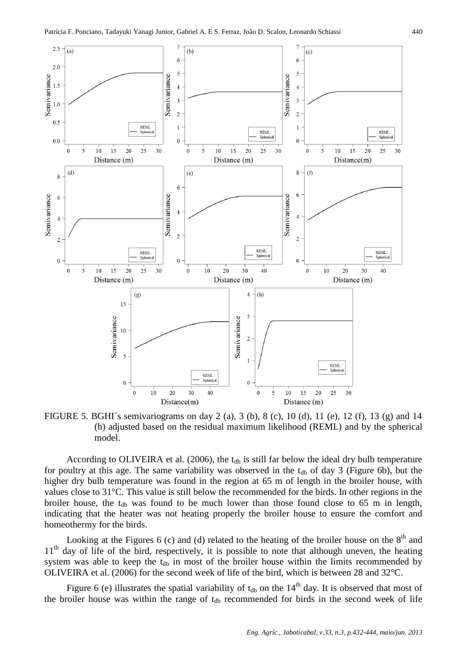

FIGURE 5. BGHI´s semivariograms on day 2 (a), 3 (b), 8 (c), 10 (d), 11 (e), 12 (f), 13 (g) and 14 (h) adjusted based on the residual maximum likelihood (REML) and by the spherical model.

According to OLIVEIRA et al. (2006), the  $t_{db}$  is still far below the ideal dry bulb temperature for poultry at this age. The same variability was observed in the  $t_{db}$  of day 3 (Figure 6b), but the higher dry bulb temperature was found in the region at 65 m of length in the broiler house, with values close to 31°C. This value is still below the recommended for the birds. In other regions in the broiler house, the  $t_{db}$  was found to be much lower than those found close to 65 m in length, indicating that the heater was not heating properly the broiler house to ensure the comfort and homeothermy for the birds.

Looking at the Figures  $6$  (c) and (d) related to the heating of the broiler house on the  $8<sup>th</sup>$  and 11<sup>th</sup> day of life of the bird, respectively, it is possible to note that although uneven, the heating system was able to keep the  $t_{db}$  in most of the broiler house within the limits recommended by OLIVEIRA et al. (2006) for the second week of life of the bird, which is between 28 and 32°C.

Figure 6 (e) illustrates the spatial variability of  $t_{db}$  on the 14<sup>th</sup> day. It is observed that most of the broiler house was within the range of  $t_{db}$  recommended for birds in the second week of life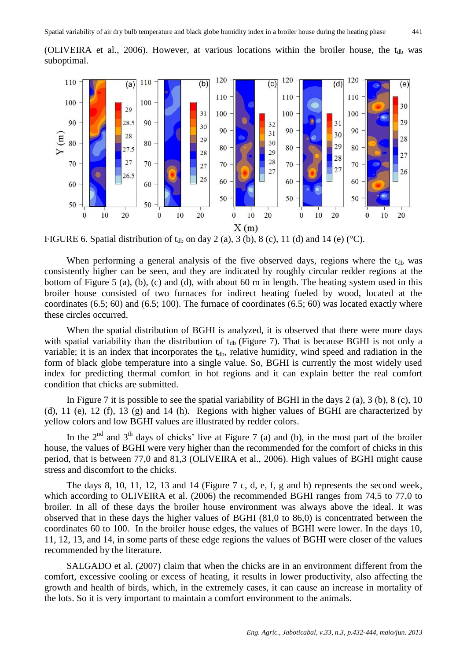

FIGURE 6. Spatial distribution of  $t_{db}$  on day 2 (a), 3 (b), 8 (c), 11 (d) and 14 (e) (°C).

When performing a general analysis of the five observed days, regions where the  $t_{db}$  was consistently higher can be seen, and they are indicated by roughly circular redder regions at the bottom of Figure 5 (a), (b), (c) and (d), with about 60 m in length. The heating system used in this broiler house consisted of two furnaces for indirect heating fueled by wood, located at the coordinates  $(6.5; 60)$  and  $(6.5; 100)$ . The furnace of coordinates  $(6.5; 60)$  was located exactly where these circles occurred.

When the spatial distribution of BGHI is analyzed, it is observed that there were more days with spatial variability than the distribution of  $t_{db}$  (Figure 7). That is because BGHI is not only a variable; it is an index that incorporates the  $t_{db}$ , relative humidity, wind speed and radiation in the form of black globe temperature into a single value. So, BGHI is currently the most widely used index for predicting thermal comfort in hot regions and it can explain better the real comfort condition that chicks are submitted.

In Figure 7 it is possible to see the spatial variability of BGHI in the days  $2$  (a),  $3$  (b),  $8$  (c),  $10$ (d), 11 (e), 12 (f), 13 (g) and 14 (h). Regions with higher values of BGHI are characterized by yellow colors and low BGHI values are illustrated by redder colors.

In the  $2<sup>nd</sup>$  and  $3<sup>th</sup>$  days of chicks' live at Figure 7 (a) and (b), in the most part of the broiler house, the values of BGHI were very higher than the recommended for the comfort of chicks in this period, that is between 77,0 and 81,3 (OLIVEIRA et al., 2006). High values of BGHI might cause stress and discomfort to the chicks.

The days 8, 10, 11, 12, 13 and 14 (Figure 7 c, d, e, f, g and h) represents the second week, which according to OLIVEIRA et al. (2006) the recommended BGHI ranges from 74,5 to 77,0 to broiler. In all of these days the broiler house environment was always above the ideal. It was observed that in these days the higher values of BGHI (81,0 to 86,0) is concentrated between the coordinates 60 to 100. In the broiler house edges, the values of BGHI were lower. In the days 10, 11, 12, 13, and 14, in some parts of these edge regions the values of BGHI were closer of the values recommended by the literature.

SALGADO et al. (2007) claim that when the chicks are in an environment different from the comfort, excessive cooling or excess of heating, it results in lower productivity, also affecting the growth and health of birds, which, in the extremely cases, it can cause an increase in mortality of the lots. So it is very important to maintain a comfort environment to the animals.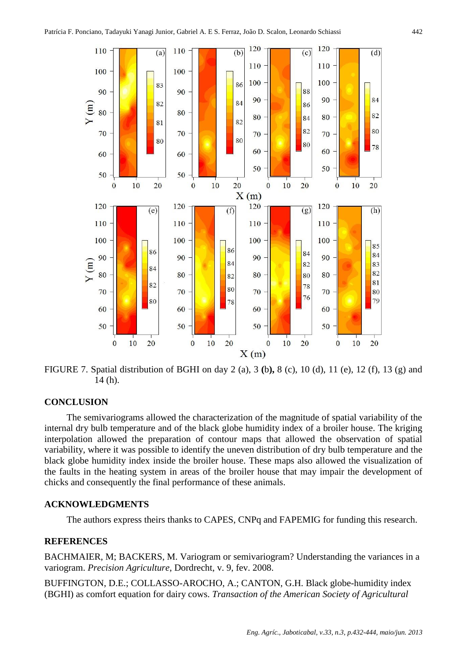

FIGURE 7. Spatial distribution of BGHI on day 2 (a), 3 **(**b**),** 8 (c), 10 (d), 11 (e), 12 (f), 13 (g) and 14 (h).

### **CONCLUSION**

The semivariograms allowed the characterization of the magnitude of spatial variability of the internal dry bulb temperature and of the black globe humidity index of a broiler house. The kriging interpolation allowed the preparation of contour maps that allowed the observation of spatial variability, where it was possible to identify the uneven distribution of dry bulb temperature and the black globe humidity index inside the broiler house. These maps also allowed the visualization of the faults in the heating system in areas of the broiler house that may impair the development of chicks and consequently the final performance of these animals.

#### **ACKNOWLEDGMENTS**

The authors express theirs thanks to CAPES, CNPq and FAPEMIG for funding this research.

### **REFERENCES**

BACHMAIER, M; BACKERS, M. Variogram or semivariogram? Understanding the variances in a variogram. *Precision Agriculture*, Dordrecht, v. 9, fev. 2008.

BUFFINGTON, D.E.; COLLASSO-AROCHO, A.; CANTON, G.H. Black globe-humidity index (BGHI) as comfort equation for dairy cows. *Transaction of the American Society of Agricultural*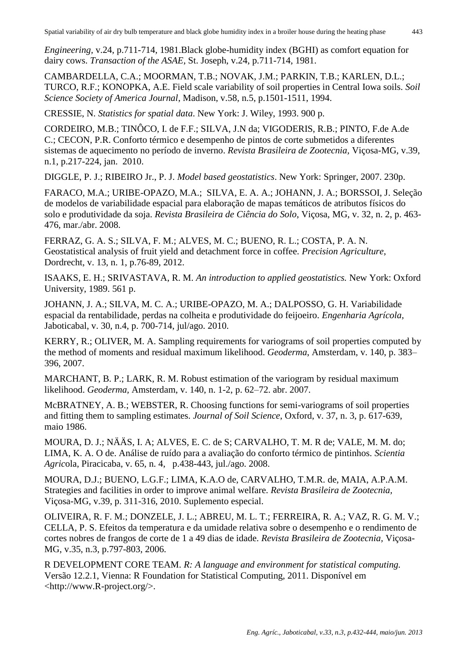*Engineering,* v.24, p.711-714, 1981.Black globe-humidity index (BGHI) as comfort equation for dairy cows. *Transaction of the ASAE*, St. Joseph, v.24, p.711-714, 1981.

CAMBARDELLA, C.A.; MOORMAN, T.B.; NOVAK, J.M.; PARKIN, T.B.; KARLEN, D.L.; TURCO, R.F.; KONOPKA, A.E. Field scale variability of soil properties in Central Iowa soils. *Soil Science Society of America Journal*, Madison, v.58, n.5, p.1501-1511, 1994.

CRESSIE, N. *Statistics for spatial data*. New York: J. Wiley, 1993. 900 p.

CORDEIRO, M.B.; TINÔCO, I. de F.F.; SILVA, J.N da; VIGODERIS, R.B.; PINTO, F.de A.de C.; CECON, P.R. Conforto térmico e desempenho de pintos de corte submetidos a diferentes sistemas de aquecimento no período de inverno. *Revista Brasileira de Zootecnia,* Viçosa-MG, v.39, n.1, p.217-224, jan. 2010.

DIGGLE, P. J.; RIBEIRO Jr., P. J. *Model based geostatistics*. New York: Springer, 2007. 230p.

FARACO, M.A.; URIBE-OPAZO, M.A.; SILVA, E. A. A.; JOHANN, J. A.; BORSSOI, J. Seleção de modelos de variabilidade espacial para elaboração de mapas temáticos de atributos físicos do solo e produtividade da soja. *Revista Brasileira de Ciência do Solo*, Viçosa, MG, v. 32, n. 2, p. 463- 476, mar./abr. 2008.

FERRAZ, G. A. S.; SILVA, F. M.; ALVES, M. C.; BUENO, R. L.; COSTA, P. A. N. Geostatistical analysis of fruit yield and detachment force in coffee. *Precision Agriculture*, Dordrecht, v. 13, n. 1, p.76-89, 2012.

ISAAKS, E. H.; SRIVASTAVA, R. M. *An introduction to applied geostatistics.* New York: Oxford University, 1989. 561 p.

JOHANN, J. A.; SILVA, M. C. A.; URIBE-OPAZO, M. A.; DALPOSSO, G. H. Variabilidade espacial da rentabilidade, perdas na colheita e produtividade do feijoeiro. *Engenharia Agrícola,* Jaboticabal, v. 30, n.4, p. 700-714, jul/ago. 2010.

KERRY, R.; OLIVER, M. A. Sampling requirements for variograms of soil properties computed by the method of moments and residual maximum likelihood. *Geoderma*, Amsterdam, v. 140, p. 383– 396, 2007.

MARCHANT, B. P.; LARK, R. M. Robust estimation of the variogram by residual maximum likelihood. *Geoderma,* Amsterdam, v. 140, n. 1-2, p. 62–72. abr. 2007.

McBRATNEY, A. B.; WEBSTER, R. Choosing functions for semi-variograms of soil properties and fitting them to sampling estimates. *Journal of Soil Science*, Oxford, v. 37, n. 3, p. 617-639, maio 1986.

MOURA, D. J.; NÄÄS, I. A; ALVES, E. C. de S; CARVALHO, T. M. R de; VALE, M. M. do; LIMA, K. A. O de. Análise de ruído para a avaliação do conforto térmico de pintinhos. *Scientia Agric*ola, Piracicaba, v. 65, n. 4, p.438-443, jul./ago. 2008.

MOURA, D.J.; BUENO, L.G.F.; LIMA, K.A.O de, CARVALHO, T.M.R. de, MAIA, A.P.A.M. Strategies and facilities in order to improve animal welfare. *Revista Brasileira de Zootecnia,* Viçosa-MG, v.39, p. 311-316, 2010. Suplemento especial.

OLIVEIRA, R. F. M.; DONZELE, J. L.; ABREU, M. L. T.; FERREIRA, R. A.; VAZ, R. G. M. V.; CELLA, P. S. Efeitos da temperatura e da umidade relativa sobre o desempenho e o rendimento de cortes nobres de frangos de corte de 1 a 49 dias de idade. *Revista Brasileira de Zootecnia,* Viçosa-MG, v.35, n.3, p.797-803, 2006.

R DEVELOPMENT CORE TEAM. *R: A language and environment for statistical computing.* Versão 12.2.1, Vienna: R Foundation for Statistical Computing, 2011. Disponível em <http://www.R-project.org/>.